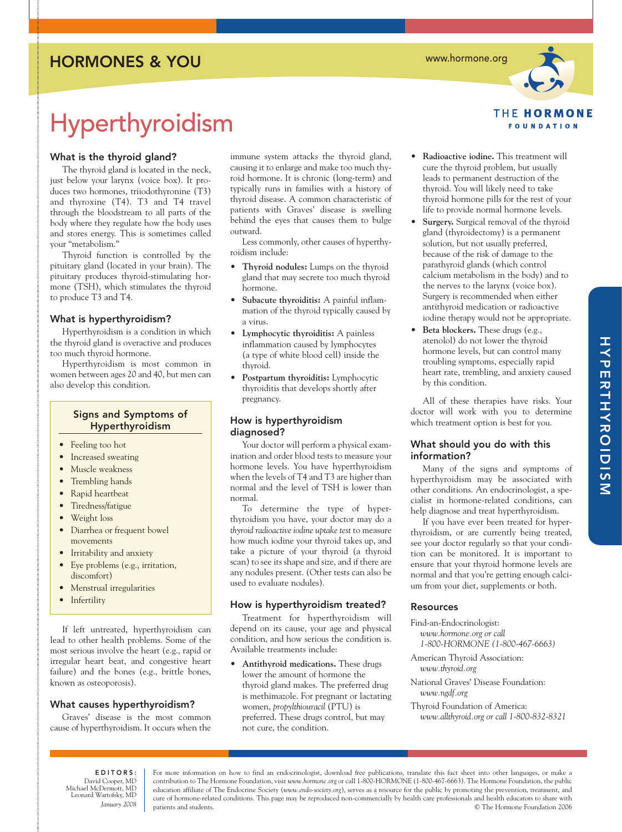### HORMONES & YOU

www.hormone.org



# Hyperthyroidism

### What is the thyroid gland?

The thyroid gland is located in the neck, just below your larynx (voice box). It produces two hormones, triiodothyronine (T3) and thyroxine (T4). T3 and T4 travel through the bloodstream to all parts of the body where they regulate how the body uses and stores energy. This is sometimes called your "metabolism."

Thyroid function is controlled by the pituitary gland (located in your brain). The pituitary produces thyroid-stimulating hormone (TSH), which stimulates the thyroid to produce T3 and T4.

### What is hyperthyroidism?

Hyperthyroidism is a condition in which the thyroid gland is overactive and produces too much thyroid hormone.

Hyperthyroidism is most common in women between ages 20 and 40, but men can also develop this condition.

### Signs and Symptoms of Hyperthyroidism

- Feeling too hot
- Increased sweating
- Muscle weakness
- Trembling hands
- Rapid heartbeat
- Tiredness/fatigue
- Weight loss
- Diarrhea or frequent bowel movements
- Irritability and anxiety
- Eye problems (e.g., irritation, discomfort)
- Menstrual irregularities
- Infertility

If left untreated, hyperthyroidism can lead to other health problems. Some of the most serious involve the heart (e.g., rapid or irregular heart beat, and congestive heart failure) and the bones (e.g., brittle bones, known as osteoporosis).

### What causes hyperthyroidism?

Graves' disease is the most common cause of hyperthyroidism. It occurs when the

immune system attacks the thyroid gland, causing it to enlarge and make too much thyroid hormone. It is chronic (long-term) and typically runs in families with a history of thyroid disease. A common characteristic of patients with Graves' disease is swelling behind the eyes that causes them to bulge outward.

Less commonly, other causes of hyperthyroidism include:

- **Thyroid nodules:** Lumps on the thyroid gland that may secrete too much thyroid hormone.
- **Subacute thyroiditis:** A painful inflammation of the thyroid typically caused by a virus.
- **Lymphocytic thyroiditis:** A painless inflammation caused by lymphocytes (a type of white blood cell) inside the thyroid.
- **Postpartum thyroiditis:** Lymphocytic thyroiditis that develops shortly after pregnancy.

### How is hyperthyroidism diagnosed?

Your doctor will perform a physical examination and order blood tests to measure your hormone levels. You have hyperthyroidism when the levels of T4 and T3 are higher than normal and the level of TSH is lower than normal.

To determine the type of hyperthyroidism you have, your doctor may do a *thyroid radioactive iodine uptake test* to measure how much iodine your thyroid takes up, and take a picture of your thyroid (a thyroid scan) to see its shape and size, and if there are any nodules present. (Other tests can also be used to evaluate nodules).

### How is hyperthyroidism treated?

Treatment for hyperthyroidism will depend on its cause, your age and physical condition, and how serious the condition is. Available treatments include:

• **Antithyroid medications.** These drugs lower the amount of hormone the thyroid gland makes. The preferred drug is methimazole. For pregnant or lactating women, *propylthiouracil* (PTU) is preferred. These drugs control, but may not cure, the condition.

- **Radioactive iodine.** This treatment will cure the thyroid problem, but usually leads to permanent destruction of the thyroid. You will likely need to take thyroid hormone pills for the rest of your life to provide normal hormone levels.
- **Surgery.** Surgical removal of the thyroid gland (thyroidectomy) is a permanent solution, but not usually preferred, because of the risk of damage to the parathyroid glands (which control calcium metabolism in the body) and to the nerves to the larynx (voice box). Surgery is recommended when either antithyroid medication or radioactive iodine therapy would not be appropriate.
- **Beta blockers.** These drugs (e.g., atenolol) do not lower the thyroid hormone levels, but can control many troubling symptoms, especially rapid heart rate, trembling, and anxiety caused by this condition.

All of these therapies have risks. Your doctor will work with you to determine which treatment option is best for you.

### What should you do with this information?

Many of the signs and symptoms of hyperthyroidism may be associated with other conditions. An endocrinologist, a specialist in hormone-related conditions, can help diagnose and treat hyperthyroidism.

If you have ever been treated for hyperthyroidism, or are currently being treated, see your doctor regularly so that your condition can be monitored. It is important to ensure that your thyroid hormone levels are normal and that you're getting enough calcium from your diet, supplements or both.

### **Resources**

Find-an-Endocrinologist:

*www.hormone.org or call 1-800-HORMONE (1-800-467-6663)*

American Thyroid Association: *www.thyroid.org*

- National Graves' Disease Foundation: *www.ngdf.org*
- Thyroid Foundation of America: *www.allthyroid.org or call 1-800-832-8321*

EDITORS: David Cooper, MD Michael McDermott, MD Leonard Wartofsky, MD *January 2008*

For more information on how to find an endocrinologist, download free publications, translate this fact sheet into other languages, or make a contribution to The Hormone Foundation, visit *www.hormone.org* or call 1-800-HORMONE (1-800-467-6663). The Hormone Foundation, the public education affiliate of The Endocrine Society (*www.endo-society.org*), serves as a resource for the public by promoting the prevention, treatment, and cure of hormone-related conditions. This page may be reproduced non-commercially by health care professionals and health educators to share with patients and students. © The Hormone Foundation 2006